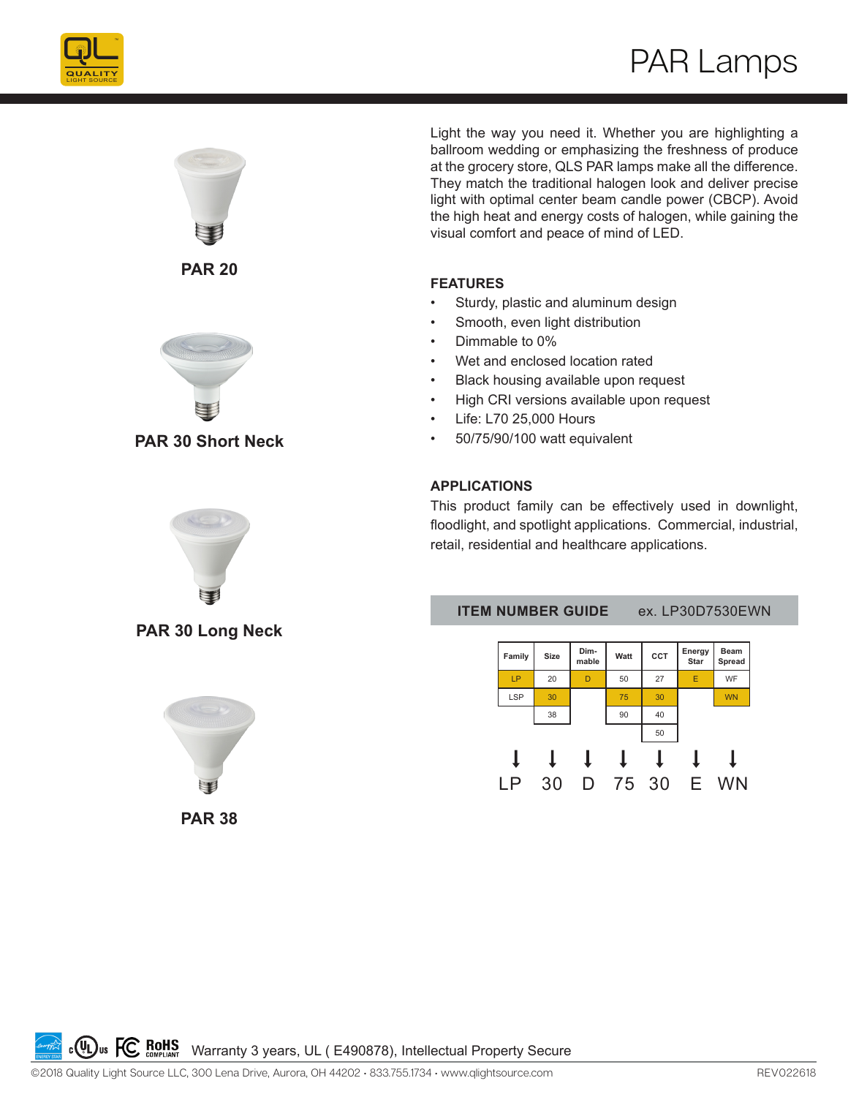



**PAR 20**



**PAR 30 Short Neck**



**PAR 30 Long Neck**



Light the way you need it. Whether you are highlighting a ballroom wedding or emphasizing the freshness of produce at the grocery store, QLS PAR lamps make all the difference. They match the traditional halogen look and deliver precise light with optimal center beam candle power (CBCP). Avoid the high heat and energy costs of halogen, while gaining the visual comfort and peace of mind of LED.

#### **FEATURES**

- Sturdy, plastic and aluminum design
- Smooth, even light distribution
- Dimmable to 0%
- Wet and enclosed location rated
- Black housing available upon request
- High CRI versions available upon request
- Life: L70 25,000 Hours
- 50/75/90/100 watt equivalent

#### **APPLICATIONS**

This product family can be effectively used in downlight, floodlight, and spotlight applications. Commercial, industrial, retail, residential and healthcare applications.

**ITEM NUMBER GUIDE** ex. LP30D7530EWN



**C ROHS** Warranty 3 years, UL ( E490878), Intellectual Property Secure